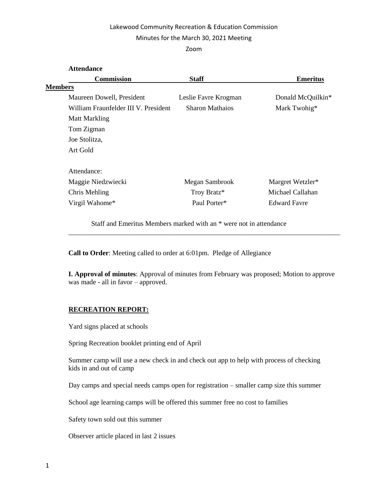# Lakewood Community Recreation & Education Commission

## Minutes for the March 30, 2021 Meeting

### Zoom

| <b>Attendance</b>                    |                        |                     |
|--------------------------------------|------------------------|---------------------|
| <b>Commission</b>                    | <b>Staff</b>           | <b>Emeritus</b>     |
| <b>Members</b>                       |                        |                     |
| Maureen Dowell, President            | Leslie Favre Krogman   | Donald McQuilkin*   |
| William Fraunfelder III V. President | <b>Sharon Mathaios</b> | Mark Twohig*        |
| <b>Matt Markling</b>                 |                        |                     |
| Tom Zigman                           |                        |                     |
| Joe Stolitza,                        |                        |                     |
| Art Gold                             |                        |                     |
| Attendance:                          |                        |                     |
| Maggie Niedzwiecki                   | Megan Sambrook         | Margret Wetzler*    |
| Chris Mehling                        | Troy Bratz*            | Michael Callahan    |
| Virgil Wahome*                       | Paul Porter*           | <b>Edward Favre</b> |
|                                      |                        |                     |

Staff and Emeritus Members marked with an \* were not in attendance

**Call to Order**: Meeting called to order at 6:01pm. Pledge of Allegiance

**I. Approval of minutes**: Approval of minutes from February was proposed; Motion to approve was made - all in favor – approved.

\_\_\_\_\_\_\_\_\_\_\_\_\_\_\_\_\_\_\_\_\_\_\_\_\_\_\_\_\_\_\_\_\_\_\_\_\_\_\_\_\_\_\_\_\_\_\_\_\_\_\_\_\_\_\_\_\_\_\_\_\_\_\_\_\_\_\_\_\_\_\_\_\_\_\_\_\_\_

# **RECREATION REPORT:**

Yard signs placed at schools

Spring Recreation booklet printing end of April

Summer camp will use a new check in and check out app to help with process of checking kids in and out of camp

Day camps and special needs camps open for registration – smaller camp size this summer

School age learning camps will be offered this summer free no cost to families

Safety town sold out this summer

Observer article placed in last 2 issues